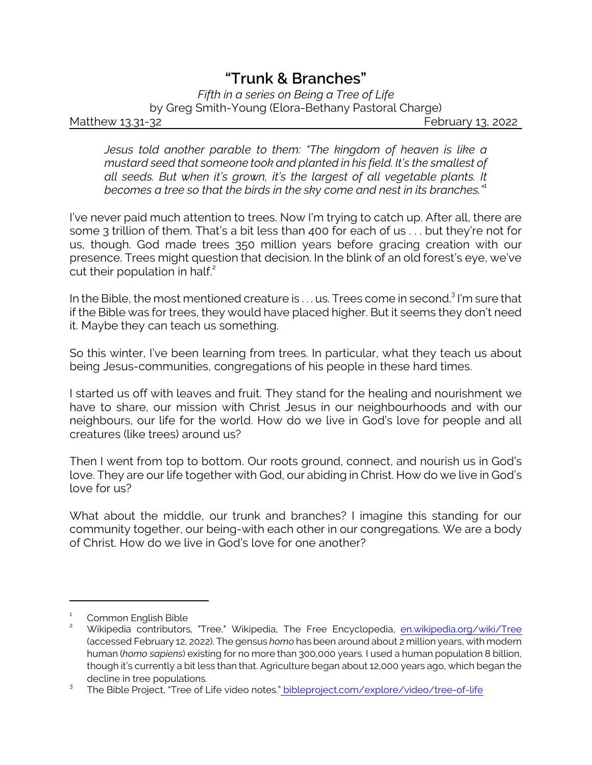## *"Trunk & Branches"*

*Fifth in a series on Being a Tree of Life* by Greg Smith-Young (Elora-Bethany Pastoral Charge) Matthew 13.31-32 **February 13, 2022** 

*Jesus told another parable to them: "The kingdom of heaven is like a mustard seed that someone took and planted in his field. It's the smallest of all seeds. But when it's grown, it's the largest of all vegetable plants. It becomes a tree so that the birds in the sky come and nest in its branches."*<sup>1</sup>

I've never paid much attention to trees. Now I'm trying to catch up. After all, there are some 3 trillion of them. That's a bit less than 400 for each of us . . . but they're not for us, though. God made trees 350 million years before gracing creation with our presence. Trees might question that decision. In the blink of an old forest's eye, we've cut their population in half. $2^2$ 

In the Bible, the most mentioned creature is  $\dots$  us. Trees come in second. $^3$  I'm sure that if the Bible was for trees, they would have placed higher. But it seems they don't need it. Maybe they can teach us something.

So this winter, I've been learning from trees. In particular, what they teach us about being Jesus-communities, congregations of his people in these hard times.

I started us off with leaves and fruit. They stand for the healing and nourishment we have to share, our mission with Christ Jesus in our neighbourhoods and with our neighbours, our life for the world. How do we live in God's love for people and all creatures (like trees) around us?

Then I went from top to bottom. Our roots ground, connect, and nourish us in God's love. They are our life together with God, our abiding in Christ. How do we live in God's love for us?

What about the middle, our trunk and branches? I imagine this standing for our community together, our being-with each other in our congregations. We are a body of Christ. How do we live in God's love for one another?

<sup>1</sup> Common English Bible

<sup>2</sup> Wikipedia contributors, "Tree," Wikipedia, The Free Encyclopedia, [en.wikipedia.org/wiki/Tree](https://en.wikipedia.org/wiki/Tree#Trunk) (accessed February 12, 2022). The gensus *homo* has been around about 2 million years, with modern human (*homo sapiens*) existing for no more than 300,000 years. I used a human population 8 billion, though it's currently a bit less than that. Agriculture began about 12,000 years ago, which began the decline in tree populations.

<sup>3</sup> The Bible Project, "Tree of Life video notes.[" bibleproject.com/explore/video/tree-of-life](https://bibleproject.com/explore/video/tree-of-life/)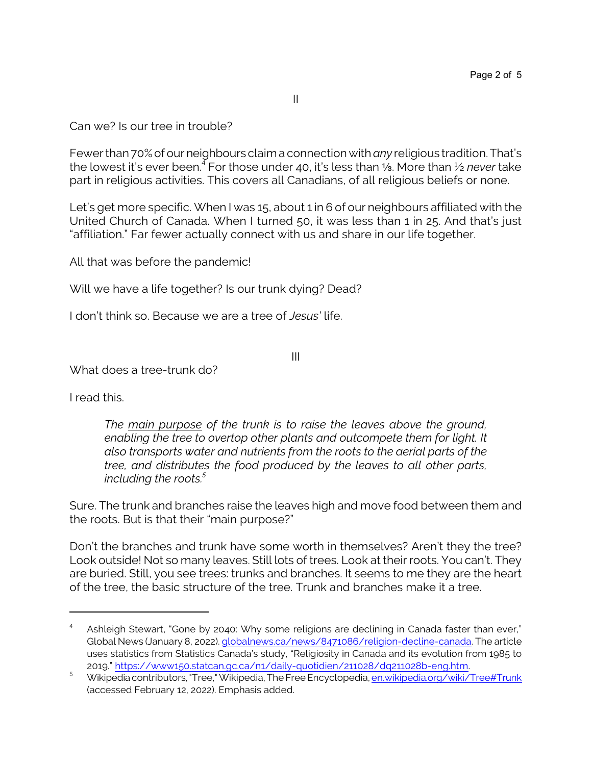II

Can we? Is our tree in trouble?

Fewer than 70% of our neighbours claim a connection with *any* religious tradition. That's the lowest it's ever been.<sup>4</sup> For those under 40, it's less than 1⁄2. More than 1⁄2 *never* take part in religious activities. This covers all Canadians, of all religious beliefs or none.

Let's get more specific. When I was 15, about 1 in 6 of our neighbours affiliated with the United Church of Canada. When I turned 50, it was less than 1 in 25. And that's just "affiliation." Far fewer actually connect with us and share in our life together.

All that was before the pandemic!

Will we have a life together? Is our trunk dying? Dead?

I don't think so. Because we are a tree of *Jesus'* life.

III

What does a tree-trunk do?

I read this.

*The main purpose of the trunk is to raise the leaves above the ground, enabling the tree to overtop other plants and outcompete them for light. It also transports water and nutrients from the roots to the aerial parts of the tree, and distributes the food produced by the leaves to all other parts, including the roots.<sup>5</sup>*

Sure. The trunk and branches raise the leaves high and move food between them and the roots. But is that their "main purpose?"

Don't the branches and trunk have some worth in themselves? Aren't they the tree? Look outside! Not so many leaves. Still lots of trees. Look at their roots. You can't. They are buried. Still, you see trees: trunks and branches. It seems to me they are the heart of the tree, the basic structure of the tree. Trunk and branches make it a tree.

<sup>4</sup> Ashleigh Stewart, "Gone by 2040: Why some religions are declining in Canada faster than ever," Global News (January 8, 2022). [globalnews.ca/news/8471086/religion-decline-canada](https://globalnews.ca/news/8471086/religion-decline-canada/). The article uses statistics from Statistics Canada's study, "Religiosity in Canada and its evolution from 1985 to 2019." <https://www150.statcan.gc.ca/n1/daily-quotidien/211028/dq211028b-eng.htm>.

<sup>5</sup> Wikipedia contributors, "Tree," Wikipedia, The Free Encyclopedia, [en.wikipedia.org/wiki/Tree#Trunk](https://en.wikipedia.org/wiki/Tree#Trunk) (accessed February 12, 2022). Emphasis added.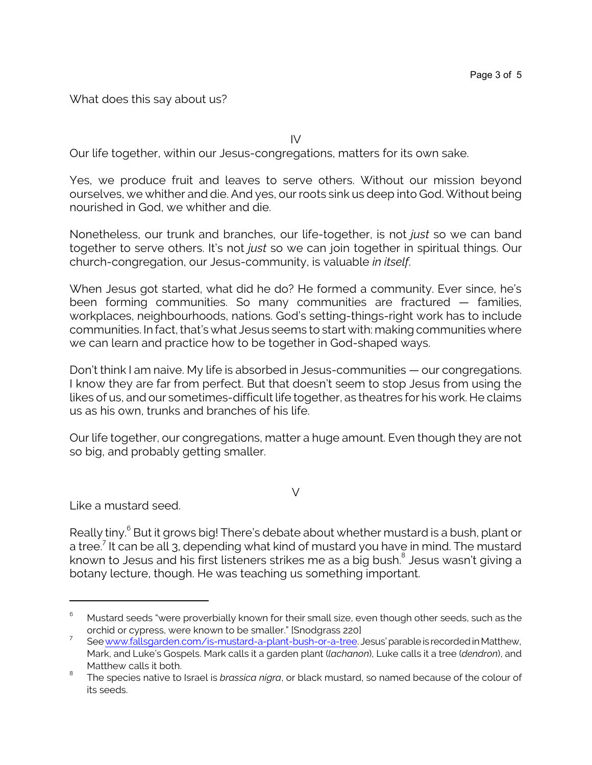What does this say about us?

IV

Our life together, within our Jesus-congregations, matters for its own sake.

Yes, we produce fruit and leaves to serve others. Without our mission beyond ourselves, we whither and die. And yes, our roots sink us deep into God. Without being nourished in God, we whither and die.

Nonetheless, our trunk and branches, our life-together, is not *just* so we can band together to serve others. It's not *just* so we can join together in spiritual things. Our church-congregation, our Jesus-community, is valuable *in itself*.

When Jesus got started, what did he do? He formed a community. Ever since, he's been forming communities. So many communities are fractured — families, workplaces, neighbourhoods, nations. God's setting-things-right work has to include communities. In fact, that's what Jesus seems to start with: making communities where we can learn and practice how to be together in God-shaped ways.

Don't think I am naive. My life is absorbed in Jesus-communities — our congregations. I know they are far from perfect. But that doesn't seem to stop Jesus from using the likes of us, and our sometimes-difficult life together, as theatres for his work. He claims us as his own, trunks and branches of his life.

Our life together, our congregations, matter a huge amount. Even though they are not so big, and probably getting smaller.

 $\vee$ 

Like a mustard seed.

Really tiny.<sup>6</sup> But it grows big! There's debate about whether mustard is a bush, plant or a tree.<sup>7</sup> It can be all 3, depending what kind of mustard you have in mind. The mustard known to Jesus and his first listeners strikes me as a big bush. $^{\mathrm{8}}$  Jesus wasn't giving a botany lecture, though. He was teaching us something important.

 $6$  Mustard seeds "were proverbially known for their small size, even though other seeds, such as the orchid or cypress, were known to be smaller." [Snodgrass 220]

<sup>7</sup> See [www.fallsgarden.com/is-mustard-a-plant-bush-or-a-tree](https://www.fallsgarden.com/is-mustard-a-plant-bush-or-a-tree/). Jesus'parableisrecordedinMatthew, Mark, and Luke's Gospels. Mark calls it a garden plant (*lachanon*), Luke calls it a tree (*dendron*), and Matthew calls it both.

<sup>8</sup> The species native to Israel is *brassica nigra*, or black mustard, so named because of the colour of its seeds.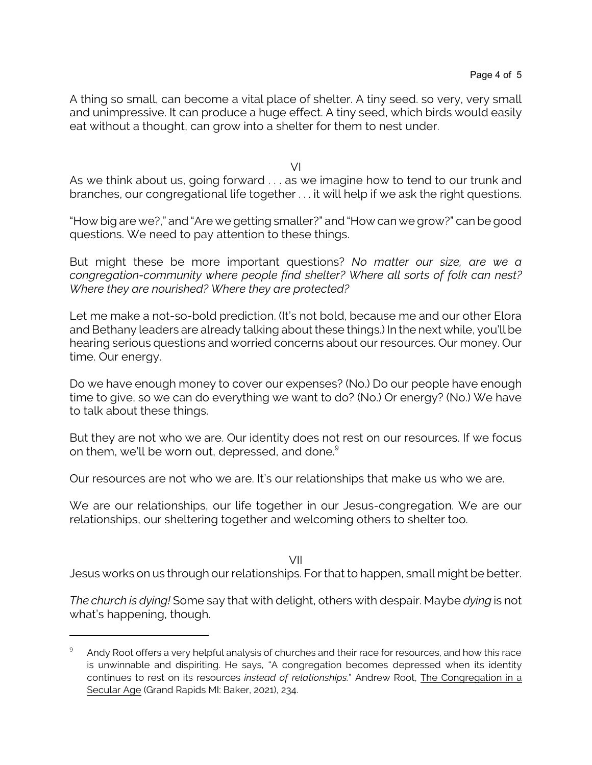A thing so small, can become a vital place of shelter. A tiny seed. so very, very small and unimpressive. It can produce a huge effect. A tiny seed, which birds would easily eat without a thought, can grow into a shelter for them to nest under.

VI

As we think about us, going forward . . . as we imagine how to tend to our trunk and branches, our congregational life together . . . it will help if we ask the right questions.

"How big are we?," and "Are we getting smaller?" and "How can we grow?" can be good questions. We need to pay attention to these things.

But might these be more important questions? *No matter our size, are we a congregation-community where people find shelter? Where all sorts of folk can nest? Where they are nourished? Where they are protected?* 

Let me make a not-so-bold prediction. (It's not bold, because me and our other Elora and Bethany leaders are already talking about these things.) In the next while, you'll be hearing serious questions and worried concerns about our resources. Our money. Our time. Our energy.

Do we have enough money to cover our expenses? (No.) Do our people have enough time to give, so we can do everything we want to do? (No.) Or energy? (No.) We have to talk about these things.

But they are not who we are. Our identity does not rest on our resources. If we focus on them, we'll be worn out, depressed, and done.<sup>9</sup>

Our resources are not who we are. It's our relationships that make us who we are.

We are our relationships, our life together in our Jesus-congregation. We are our relationships, our sheltering together and welcoming others to shelter too.

VII

Jesus works on us through our relationships. For that to happen, small might be better.

*The church is dying!* Some say that with delight, others with despair. Maybe *dying* is not what's happening, though.

<sup>9</sup> Andy Root offers a very helpful analysis of churches and their race for resources, and how this race is unwinnable and dispiriting. He says, "A congregation becomes depressed when its identity continues to rest on its resources *instead of relationships.*" Andrew Root, The Congregation in a Secular Age (Grand Rapids MI: Baker, 2021), 234.